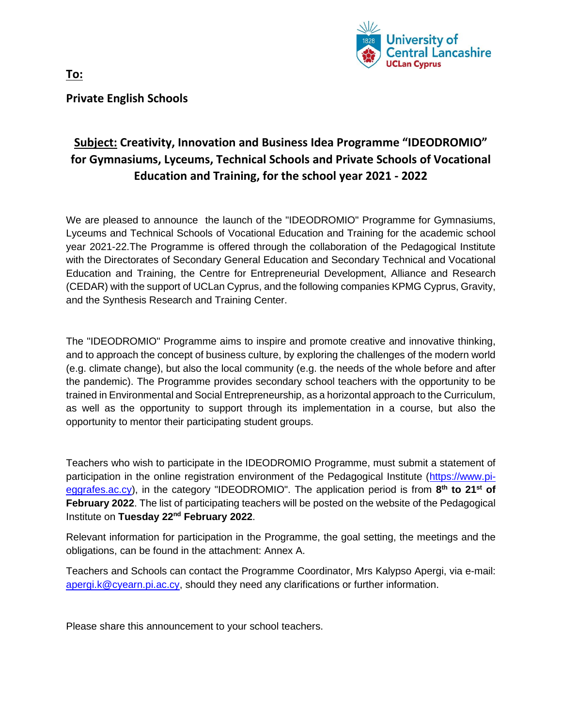

**Private English Schools**

# **Subject: Creativity, Innovation and Business Idea Programme "IDEODROMIO" for Gymnasiums, Lyceums, Technical Schools and Private Schools of Vocational Education and Training, for the school year 2021 - 2022**

We are pleased to announce the launch of the "IDEODROMIO" Programme for Gymnasiums, Lyceums and Technical Schools of Vocational Education and Training for the academic school year 2021-22.The Programme is offered through the collaboration of the Pedagogical Institute with the Directorates of Secondary General Education and Secondary Technical and Vocational Education and Training, the Centre for Entrepreneurial Development, Alliance and Research (CEDAR) with the support of UCLan Cyprus, and the following companies KPMG Cyprus, Gravity, and the Synthesis Research and Training Center.

The "IDEODROMIO" Programme aims to inspire and promote creative and innovative thinking, and to approach the concept of business culture, by exploring the challenges of the modern world (e.g. climate change), but also the local community (e.g. the needs of the whole before and after the pandemic). The Programme provides secondary school teachers with the opportunity to be trained in Environmental and Social Entrepreneurship, as a horizontal approach to the Curriculum, as well as the opportunity to support through its implementation in a course, but also the opportunity to mentor their participating student groups.

Teachers who wish to participate in the IDEODROMIO Programme, must submit a statement of participation in the online registration environment of the Pedagogical Institute [\(https://www.pi](https://www.pi-eggrafes.ac.cy/)[eggrafes.ac.cy\)](https://www.pi-eggrafes.ac.cy/), in the category "IDEODROMIO". The application period is from **8 th to 21st of February 2022**. The list of participating teachers will be posted on the website of the Pedagogical Institute on **Tuesday 22nd February 2022**.

Relevant information for participation in the Programme, the goal setting, the meetings and the obligations, can be found in the attachment: Annex A.

Teachers and Schools can contact the Programme Coordinator, Mrs Kalypso Apergi, via e-mail: [apergi.k@cyearn.pi.ac.cy,](mailto:apergi.k@cyearn.pi.ac.cy) should they need any clarifications or further information.

Please share this announcement to your school teachers.

**To:**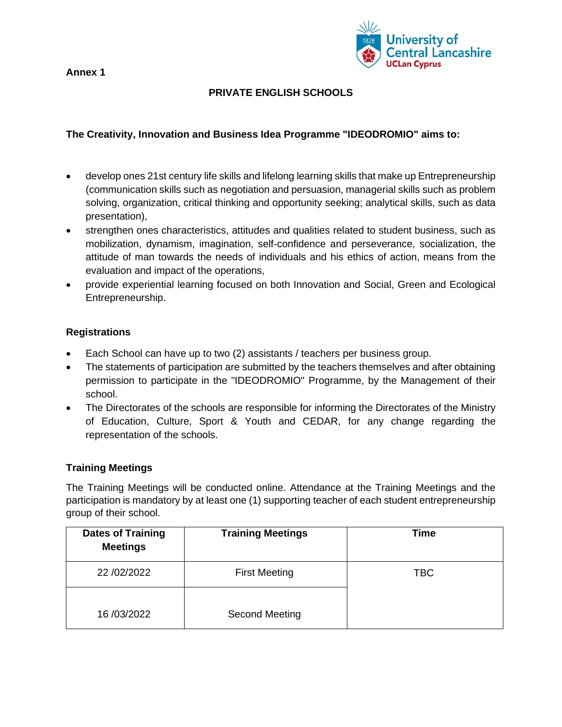**Annex 1**



# **PRIVATE ENGLISH SCHOOLS**

## **The Creativity, Innovation and Business Idea Programme "IDEODROMIO" aims to:**

- develop ones 21st century life skills and lifelong learning skills that make up Entrepreneurship (communication skills such as negotiation and persuasion, managerial skills such as problem solving, organization, critical thinking and opportunity seeking; analytical skills, such as data presentation),
- strengthen ones characteristics, attitudes and qualities related to student business, such as mobilization, dynamism, imagination, self-confidence and perseverance, socialization, the attitude of man towards the needs of individuals and his ethics of action, means from the evaluation and impact of the operations,
- provide experiential learning focused on both Innovation and Social, Green and Ecological Entrepreneurship.

#### **Registrations**

- Each School can have up to two (2) assistants / teachers per business group.
- The statements of participation are submitted by the teachers themselves and after obtaining permission to participate in the "IDEODROMIO" Programme, by the Management of their school.
- The Directorates of the schools are responsible for informing the Directorates of the Ministry of Education, Culture, Sport & Youth and CEDAR, for any change regarding the representation of the schools.

## **Training Meetings**

The Training Meetings will be conducted online. Attendance at the Training Meetings and the participation is mandatory by at least one (1) supporting teacher of each student entrepreneurship group of their school.

| <b>Dates of Training</b><br><b>Meetings</b> | <b>Training Meetings</b> | Time       |
|---------------------------------------------|--------------------------|------------|
| 22 / 02/ 2022                               | <b>First Meeting</b>     | <b>TBC</b> |
| 16/03/2022                                  | Second Meeting           |            |